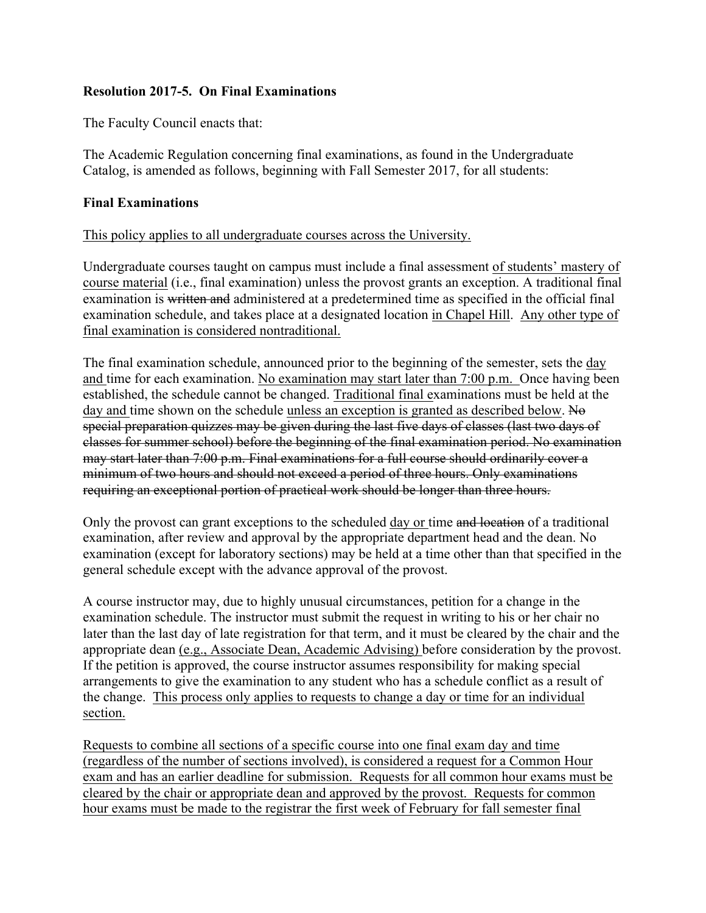## **Resolution 2017-5. On Final Examinations**

The Faculty Council enacts that:

The Academic Regulation concerning final examinations, as found in the Undergraduate Catalog, is amended as follows, beginning with Fall Semester 2017, for all students:

## **Final Examinations**

## This policy applies to all undergraduate courses across the University.

Undergraduate courses taught on campus must include a final assessment of students' mastery of course material (i.e., final examination) unless the provost grants an exception. A traditional final examination is written and administered at a predetermined time as specified in the [official final](http://registrar.unc.edu/academic-calendar/) [examination schedule](http://registrar.unc.edu/academic-calendar/), and takes place at a designated location in Chapel Hill. Any other type of final examination is considered nontraditional.

The final examination schedule, announced prior to the beginning of the semester, sets the day and time for each examination. No examination may start later than 7:00 p.m. Once having been established, the schedule cannot be changed. Traditional final examinations must be held at the day and time shown on the schedule unless an exception is granted as described below. No special preparation quizzes may be given during the last five days of classes (last two days of classes for summer school) before the beginning of the final examination period. No examination may start later than 7:00 p.m. Final examinations for a full course should ordinarily cover a minimum of two hours and should not exceed a period of three hours. Only examinations requiring an exceptional portion of practical work should be longer than three hours.

Only the provost can grant exceptions to the scheduled day or time and location of a traditional examination, after review and approval by the appropriate department head and the dean. No examination (except for laboratory sections) may be held at a time other than that specified in the general schedule except with the advance approval of the provost.

A course instructor may, due to highly unusual circumstances, petition for a change in the examination schedule. The instructor must submit the request in writing to his or her chair no later than the last day of late registration for that term, and it must be cleared by the chair and the appropriate dean (e.g., Associate Dean, Academic Advising) before consideration by the provost. If the petition is approved, the course instructor assumes responsibility for making special arrangements to give the examination to any student who has a schedule conflict as a result of the change. This process only applies to requests to change a day or time for an individual section.

Requests to combine all sections of a specific course into one final exam day and time (regardless of the number of sections involved), is considered a request for a Common Hour exam and has an earlier deadline for submission. Requests for all common hour exams must be cleared by the chair or appropriate dean and approved by the provost. Requests for common hour exams must be made to the registrar the first week of February for fall semester final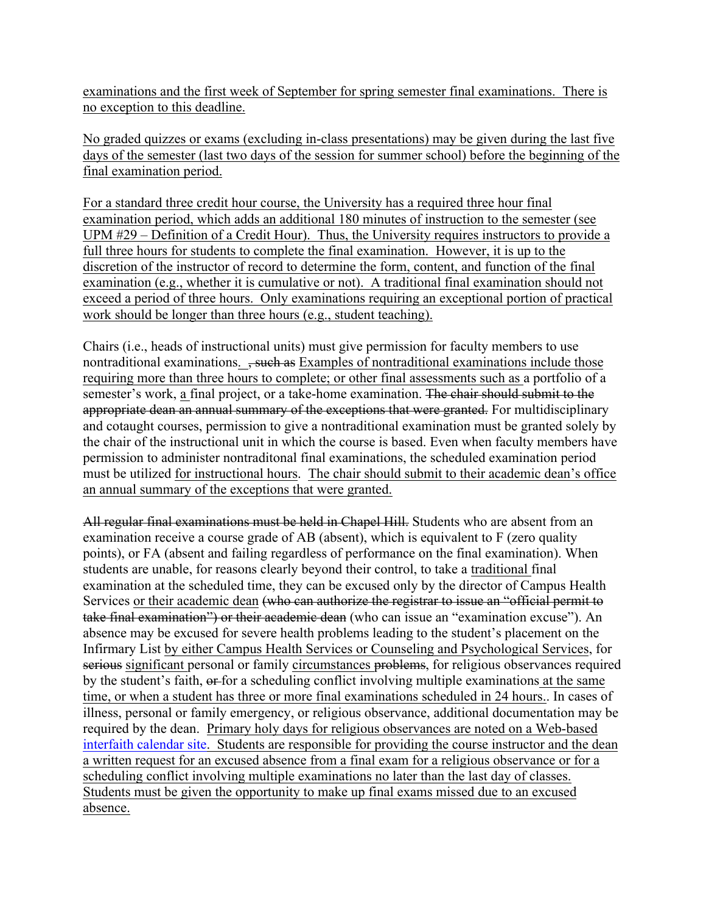examinations and the first week of September for spring semester final examinations. There is no exception to this deadline.

No graded quizzes or exams (excluding in-class presentations) may be given during the last five days of the semester (last two days of the session for summer school) before the beginning of the final examination period.

For a standard three credit hour course, the University has a required three hour final examination period, which adds an additional 180 minutes of instruction to the semester (see UPM #29 – Definition of a Credit Hour). Thus, the University requires instructors to provide a full three hours for students to complete the final examination. However, it is up to the discretion of the instructor of record to determine the form, content, and function of the final examination (e.g., whether it is cumulative or not). A traditional final examination should not exceed a period of three hours. Only examinations requiring an exceptional portion of practical work should be longer than three hours (e.g., student teaching).

Chairs (i.e., heads of instructional units) must give permission for faculty members to use nontraditional examinations.  $\frac{1}{2}$  such as Examples of nontraditional examinations include those requiring more than three hours to complete; or other final assessments such as a portfolio of a semester's work, a final project, or a take-home examination. The chair should submit to the appropriate dean an annual summary of the exceptions that were granted. For multidisciplinary and cotaught courses, permission to give a nontraditional examination must be granted solely by the chair of the instructional unit in which the course is based. Even when faculty members have permission to administer nontraditonal final examinations, the scheduled examination period must be utilized for instructional hours. The chair should submit to their academic dean's office an annual summary of the exceptions that were granted.

All regular final examinations must be held in Chapel Hill. Students who are absent from an examination receive a course grade of AB (absent), which is equivalent to F (zero quality points), or FA (absent and failing regardless of performance on the final examination). When students are unable, for reasons clearly beyond their control, to take a traditional final examination at the scheduled time, they can be excused only by the director of Campus Health Services or their academic dean (who can authorize the registrar to issue an "official permit to take final examination") or their academic dean (who can issue an "examination excuse"). An absence may be excused for severe health problems leading to the student's placement on the Infirmary List by either Campus Health Services or Counseling and Psychological Services, for serious significant personal or family circumstances problems, for religious observances required by the student's faith,  $\theta$  for a scheduling conflict involving multiple examinations at the same time, or when a student has three or more final examinations scheduled in 24 hours.. In cases of illness, personal or family emergency, or religious observance, additional documentation may be required by the dean. Primary holy days for religious observances are noted on a Web-based [interfaith calendar site](http://www.interfaithcalendar.org). Students are responsible for providing the course instructor and the dean a written request for an excused absence from a final exam for a religious observance or for a scheduling conflict involving multiple examinations no later than the last day of classes. Students must be given the opportunity to make up final exams missed due to an excused absence.